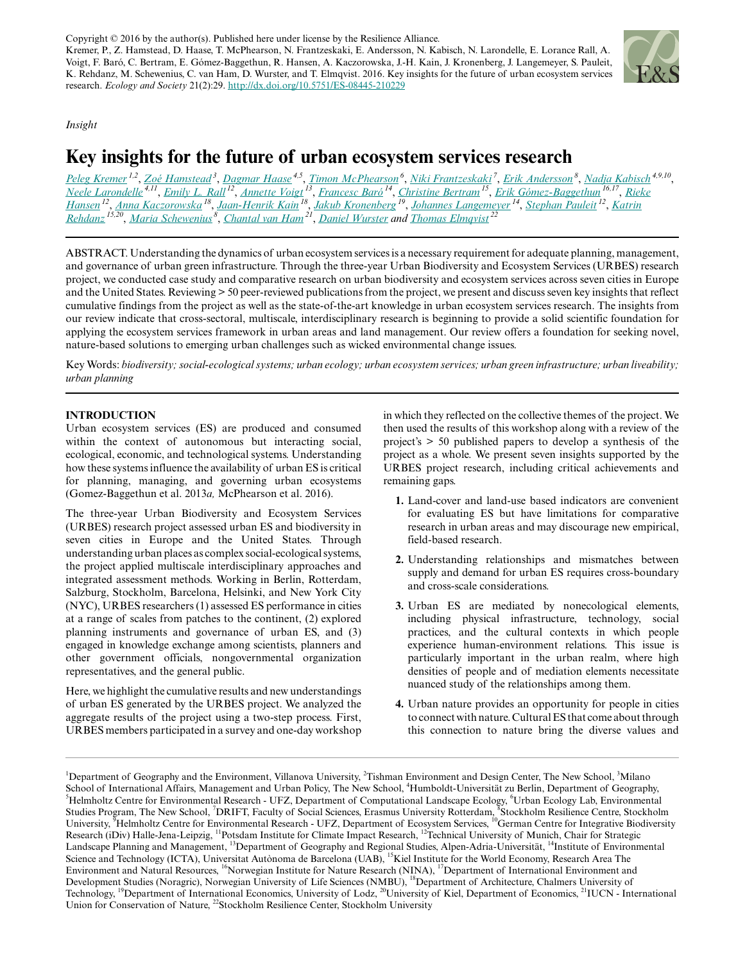Copyright  $\oslash$  2016 by the author(s). Published here under license by the Resilience Alliance. Kremer, P., Z. Hamstead, D. Haase, T. McPhearson, N. Frantzeskaki, E. Andersson, N. Kabisch, N. Larondelle, E. Lorance Rall, A. Voigt, F. Baró, C. Bertram, E. Gómez-Baggethun, R. Hansen, A. Kaczorowska, J.-H. Kain, J. Kronenberg, J. Langemeyer, S. Pauleit, K. Rehdanz, M. Schewenius, C. van Ham, D. Wurster, and T. Elmqvist. 2016. Key insights for the future of urban ecosystem services research. *Ecology and Society* 21(2):29.<http://dx.doi.org/10.5751/ES-08445-210229>

*Insight*

# **Key insights for the future of urban ecosystem services research**

<u>[Peleg Kremer](mailto:peleg.kremer@villanova.edu) 1,2, [Zoé Hamstead](mailto:zoe@newschool.edu)3, [Dagmar Haase](mailto:dagmar.haase@geo.hu-berlin.de) 4,5, [Timon McPhearson](mailto:timon.mcphearson@newschool.edu)6, [Niki Frantzeskaki](mailto:n.frantzeskaki@drift.eur.nl)7, [Erik Andersson](mailto:erik.andersson@su.se)8, [Nadja Kabisch](mailto:nadja.kabisch@geo.hu-berlin.de) 4,9,10, </u> <u>[Neele Larondelle](mailto:neele.larondelle@pik-potsdam.de) <sup>4,11</sup>, [Emily L. Rall](mailto:e.rall@tum.de) <sup>12</sup>, [Annette Voigt](mailto:net.voigt@gmx.de) <sup>13</sup>, [Francesc Baró](mailto:francesc.baro@uab.cat) <sup>14</sup>, [Christine Bertram](mailto:christine.bertram@ifw-kiel.de) <sup>15</sup>, [Erik Gómez-Baggethun](mailto:erik.gomez@nina.no) <sup>16,17</sup>, [Rieke](mailto:hansen@tum.de)</u> *[Hansen](mailto:hansen@tum.de)<sup>12</sup>* , *[Anna Kaczorowska](mailto:anna.kaczorowska@chalmers.se)<sup>18</sup>* , *[Jaan-Henrik Kain](mailto:kain@chalmers.se)<sup>18</sup>* , *[Jakub Kronenberg](mailto:kronenbe@uni.lodz.pl)<sup>19</sup>* , *[Johannes Langemeyer](mailto:johannes.langemeyer@uab.cat)<sup>14</sup>* , *[Stephan Pauleit](mailto:pauleit@wzw.tum.de)<sup>12</sup>* , *[Katrin](mailto:katrin.rehdanz@ifw-kiel.de) [Rehdanz](mailto:katrin.rehdanz@ifw-kiel.de) 15,20* , *[Maria Schewenius](mailto:maria.schewenius@su.se)<sup>8</sup>* , *[Chantal van Ham](mailto:chantal.vanham@iucn.org)<sup>21</sup>* , *[Daniel Wurster](mailto:daniel.wurster@gmx.at) and [Thomas Elmqvist](mailto:thomas.elmqvist@su.se)<sup>22</sup>*

ABSTRACT. Understanding the dynamics of urban ecosystem services is a necessary requirement for adequate planning, management, and governance of urban green infrastructure. Through the three-year Urban Biodiversity and Ecosystem Services (URBES) research project, we conducted case study and comparative research on urban biodiversity and ecosystem services across seven cities in Europe and the United States. Reviewing > 50 peer-reviewed publications from the project, we present and discuss seven key insights that reflect cumulative findings from the project as well as the state-of-the-art knowledge in urban ecosystem services research. The insights from our review indicate that cross-sectoral, multiscale, interdisciplinary research is beginning to provide a solid scientific foundation for applying the ecosystem services framework in urban areas and land management. Our review offers a foundation for seeking novel, nature-based solutions to emerging urban challenges such as wicked environmental change issues.

Key Words: *biodiversity; social-ecological systems; urban ecology; urban ecosystem services; urban green infrastructure; urban liveability; urban planning*

# **INTRODUCTION**

Urban ecosystem services (ES) are produced and consumed within the context of autonomous but interacting social, ecological, economic, and technological systems. Understanding how these systems influence the availability of urban ES is critical for planning, managing, and governing urban ecosystems (Gomez-Baggethun et al. 2013*a,* McPhearson et al. 2016).

The three-year Urban Biodiversity and Ecosystem Services (URBES) research project assessed urban ES and biodiversity in seven cities in Europe and the United States. Through understanding urban places as complex social-ecological systems, the project applied multiscale interdisciplinary approaches and integrated assessment methods. Working in Berlin, Rotterdam, Salzburg, Stockholm, Barcelona, Helsinki, and New York City (NYC), URBES researchers (1) assessed ES performance in cities at a range of scales from patches to the continent, (2) explored planning instruments and governance of urban ES, and (3) engaged in knowledge exchange among scientists, planners and other government officials, nongovernmental organization representatives, and the general public.

Here, we highlight the cumulative results and new understandings of urban ES generated by the URBES project. We analyzed the aggregate results of the project using a two-step process. First, URBES members participated in a survey and one-day workshop

in which they reflected on the collective themes of the project. We then used the results of this workshop along with a review of the project's > 50 published papers to develop a synthesis of the project as a whole. We present seven insights supported by the URBES project research, including critical achievements and remaining gaps.

- **1.** Land-cover and land-use based indicators are convenient for evaluating ES but have limitations for comparative research in urban areas and may discourage new empirical, field-based research.
- **2.** Understanding relationships and mismatches between supply and demand for urban ES requires cross-boundary and cross-scale considerations.
- **3.** Urban ES are mediated by nonecological elements, including physical infrastructure, technology, social practices, and the cultural contexts in which people experience human-environment relations. This issue is particularly important in the urban realm, where high densities of people and of mediation elements necessitate nuanced study of the relationships among them.
- **4.** Urban nature provides an opportunity for people in cities to connect with nature. Cultural ES that come about through this connection to nature bring the diverse values and

<sup>&</sup>lt;sup>1</sup>Department of Geography and the Environment, Villanova University, <sup>2</sup>Tishman Environment and Design Center, The New School, <sup>3</sup>Milano School of International Affairs, Management and Urban Policy, The New School, <sup>4</sup>Humboldt-Universität zu Berlin, Department of Geography, <sup>5</sup>Helmholtz Centre for Environmental Research - UFZ, Department of Computational Landscape Ecology, <sup>6</sup>Urban Ecology Lab, Environmental Studies Program, The New School, <sup>7</sup>DRIFT, Faculty of Social Sciences, Erasmus University Rotterdam, <sup>8</sup>Stockholm Resilience Centre, Stockholm University, <sup>9</sup>Helmholtz Centre for Environmental Research - UFZ, Department of Ecosystem Services, <sup>10</sup>German Centre for Integrative Biodiversity Research (iDiv) Halle-Jena-Leipzig, <sup>11</sup>Potsdam Institute for Climate Impact Research, <sup>12</sup>Technical University of Munich, Chair for Strategic Landscape Planning and Management, <sup>13</sup>Department of Geography and Regional Studies, Alpen-Adria-Universität, <sup>14</sup>Institute of Environmental Science and Technology (ICTA), Universitat Autònoma de Barcelona (UAB), <sup>15</sup>Kiel Institute for the World Economy, Research Area The Environment and Natural Resources, <sup>16</sup>Norwegian Institute for Nature Research (NINA), <sup>17</sup>Department of International Environment and Development Studies (Noragric), Norwegian University of Life Sciences (NMBU), <sup>18</sup>Department of Architecture, Chalmers University of Technology, <sup>19</sup>Department of International Economics, University of Lodz, <sup>20</sup>University of Kiel, Department of Economics, <sup>21</sup>IUCN - International Union for Conservation of Nature, <sup>22</sup>Stockholm Resilience Center, Stockholm University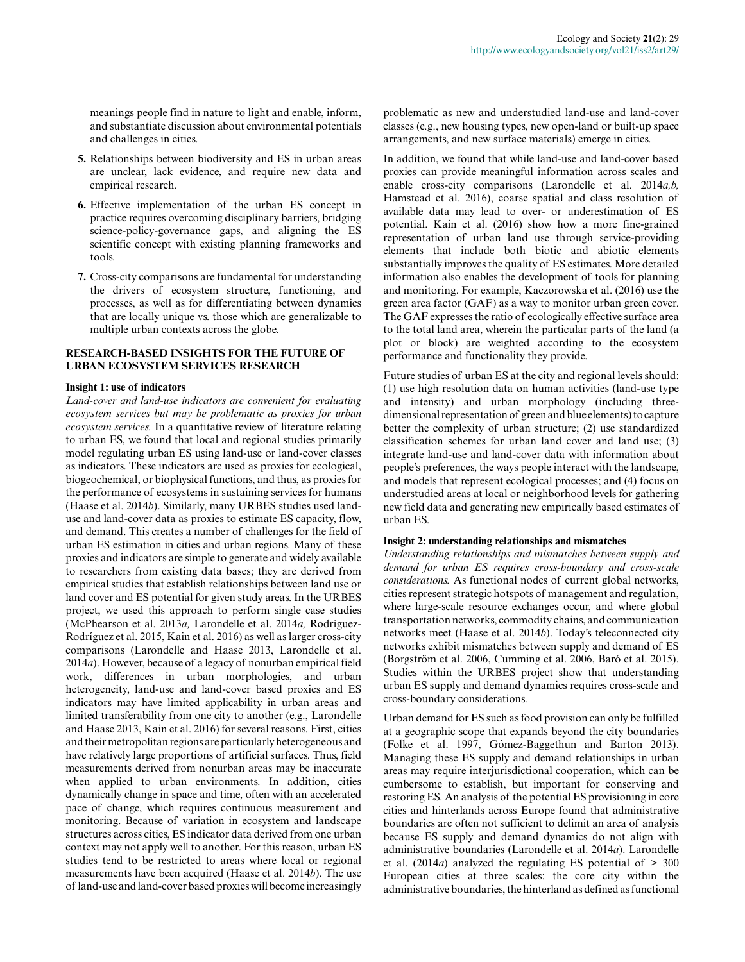meanings people find in nature to light and enable, inform, and substantiate discussion about environmental potentials and challenges in cities.

- **5.** Relationships between biodiversity and ES in urban areas are unclear, lack evidence, and require new data and empirical research.
- **6.** Effective implementation of the urban ES concept in practice requires overcoming disciplinary barriers, bridging science-policy-governance gaps, and aligning the ES scientific concept with existing planning frameworks and tools.
- **7.** Cross-city comparisons are fundamental for understanding the drivers of ecosystem structure, functioning, and processes, as well as for differentiating between dynamics that are locally unique vs. those which are generalizable to multiple urban contexts across the globe.

# **RESEARCH-BASED INSIGHTS FOR THE FUTURE OF URBAN ECOSYSTEM SERVICES RESEARCH**

#### **Insight 1: use of indicators**

*Land-cover and land-use indicators are convenient for evaluating ecosystem services but may be problematic as proxies for urban ecosystem services.* In a quantitative review of literature relating to urban ES, we found that local and regional studies primarily model regulating urban ES using land-use or land-cover classes as indicators. These indicators are used as proxies for ecological, biogeochemical, or biophysical functions, and thus, as proxies for the performance of ecosystems in sustaining services for humans (Haase et al. 2014*b*). Similarly, many URBES studies used landuse and land-cover data as proxies to estimate ES capacity, flow, and demand. This creates a number of challenges for the field of urban ES estimation in cities and urban regions. Many of these proxies and indicators are simple to generate and widely available to researchers from existing data bases; they are derived from empirical studies that establish relationships between land use or land cover and ES potential for given study areas. In the URBES project, we used this approach to perform single case studies (McPhearson et al. 2013*a,* Larondelle et al. 2014*a,* Rodríguez-Rodríguez et al. 2015, Kain et al. 2016) as well as larger cross-city comparisons (Larondelle and Haase 2013, Larondelle et al. 2014*a*). However, because of a legacy of nonurban empirical field work, differences in urban morphologies, and urban heterogeneity, land-use and land-cover based proxies and ES indicators may have limited applicability in urban areas and limited transferability from one city to another (e.g., Larondelle and Haase 2013, Kain et al. 2016) for several reasons. First, cities and their metropolitan regions are particularly heterogeneous and have relatively large proportions of artificial surfaces. Thus, field measurements derived from nonurban areas may be inaccurate when applied to urban environments. In addition, cities dynamically change in space and time, often with an accelerated pace of change, which requires continuous measurement and monitoring. Because of variation in ecosystem and landscape structures across cities, ES indicator data derived from one urban context may not apply well to another. For this reason, urban ES studies tend to be restricted to areas where local or regional measurements have been acquired (Haase et al. 2014*b*). The use of land-use and land-cover based proxies will become increasingly

problematic as new and understudied land-use and land-cover classes (e.g., new housing types, new open-land or built-up space arrangements, and new surface materials) emerge in cities.

In addition, we found that while land-use and land-cover based proxies can provide meaningful information across scales and enable cross-city comparisons (Larondelle et al. 2014*a,b,* Hamstead et al. 2016), coarse spatial and class resolution of available data may lead to over- or underestimation of ES potential. Kain et al. (2016) show how a more fine-grained representation of urban land use through service-providing elements that include both biotic and abiotic elements substantially improves the quality of ES estimates. More detailed information also enables the development of tools for planning and monitoring. For example, Kaczorowska et al. (2016) use the green area factor (GAF) as a way to monitor urban green cover. The GAF expresses the ratio of ecologically effective surface area to the total land area, wherein the particular parts of the land (a plot or block) are weighted according to the ecosystem performance and functionality they provide.

Future studies of urban ES at the city and regional levels should: (1) use high resolution data on human activities (land-use type and intensity) and urban morphology (including threedimensional representation of green and blue elements) to capture better the complexity of urban structure; (2) use standardized classification schemes for urban land cover and land use; (3) integrate land-use and land-cover data with information about people's preferences, the ways people interact with the landscape, and models that represent ecological processes; and (4) focus on understudied areas at local or neighborhood levels for gathering new field data and generating new empirically based estimates of urban ES.

#### **Insight 2: understanding relationships and mismatches**

*Understanding relationships and mismatches between supply and demand for urban ES requires cross-boundary and cross-scale considerations.* As functional nodes of current global networks, cities represent strategic hotspots of management and regulation, where large-scale resource exchanges occur, and where global transportation networks, commodity chains, and communication networks meet (Haase et al. 2014*b*). Today's teleconnected city networks exhibit mismatches between supply and demand of ES (Borgström et al. 2006, Cumming et al. 2006, Baró et al. 2015). Studies within the URBES project show that understanding urban ES supply and demand dynamics requires cross-scale and cross-boundary considerations.

Urban demand for ES such as food provision can only be fulfilled at a geographic scope that expands beyond the city boundaries (Folke et al. 1997, Gómez-Baggethun and Barton 2013). Managing these ES supply and demand relationships in urban areas may require interjurisdictional cooperation, which can be cumbersome to establish, but important for conserving and restoring ES. An analysis of the potential ES provisioning in core cities and hinterlands across Europe found that administrative boundaries are often not sufficient to delimit an area of analysis because ES supply and demand dynamics do not align with administrative boundaries (Larondelle et al. 2014*a*). Larondelle et al.  $(2014a)$  analyzed the regulating ES potential of  $> 300$ European cities at three scales: the core city within the administrative boundaries, the hinterland as defined as functional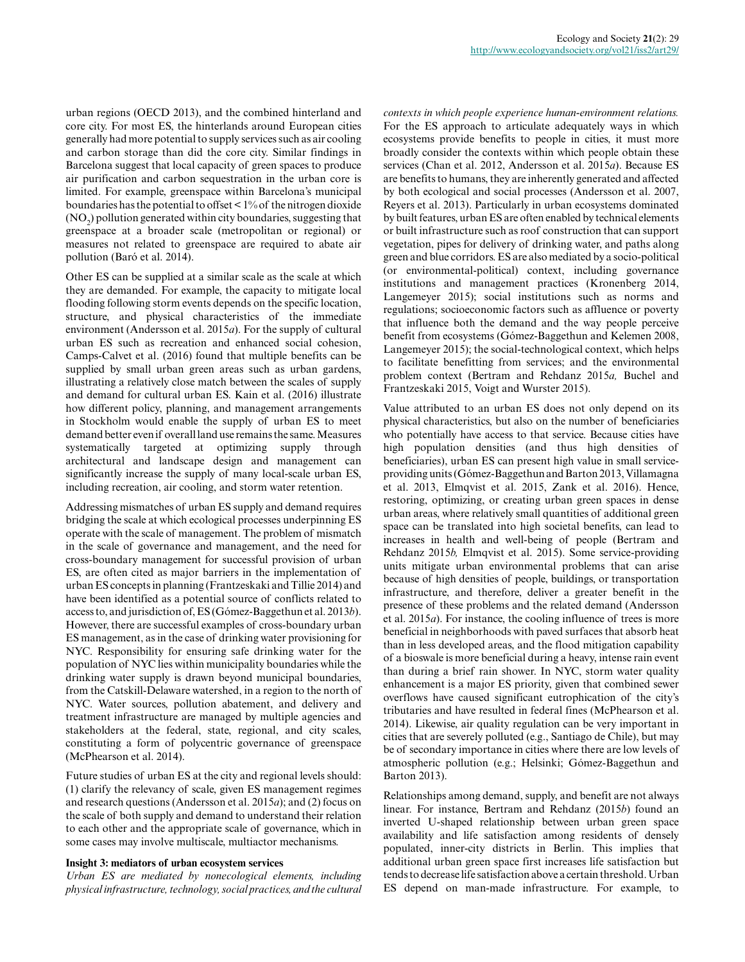urban regions (OECD 2013), and the combined hinterland and core city. For most ES, the hinterlands around European cities generally had more potential to supply services such as air cooling and carbon storage than did the core city. Similar findings in Barcelona suggest that local capacity of green spaces to produce air purification and carbon sequestration in the urban core is limited. For example, greenspace within Barcelona's municipal boundaries has the potential to offset < 1% of the nitrogen dioxide  $\rm (NO_2)$  pollution generated within city boundaries, suggesting that greenspace at a broader scale (metropolitan or regional) or measures not related to greenspace are required to abate air pollution (Baró et al. 2014).

Other ES can be supplied at a similar scale as the scale at which they are demanded. For example, the capacity to mitigate local flooding following storm events depends on the specific location, structure, and physical characteristics of the immediate environment (Andersson et al. 2015*a*). For the supply of cultural urban ES such as recreation and enhanced social cohesion, Camps-Calvet et al. (2016) found that multiple benefits can be supplied by small urban green areas such as urban gardens, illustrating a relatively close match between the scales of supply and demand for cultural urban ES. Kain et al. (2016) illustrate how different policy, planning, and management arrangements in Stockholm would enable the supply of urban ES to meet demand better even if overall land use remains the same. Measures systematically targeted at optimizing supply through architectural and landscape design and management can significantly increase the supply of many local-scale urban ES, including recreation, air cooling, and storm water retention.

Addressing mismatches of urban ES supply and demand requires bridging the scale at which ecological processes underpinning ES operate with the scale of management. The problem of mismatch in the scale of governance and management, and the need for cross-boundary management for successful provision of urban ES, are often cited as major barriers in the implementation of urban ES concepts in planning (Frantzeskaki and Tillie 2014) and have been identified as a potential source of conflicts related to access to, and jurisdiction of, ES (Gómez-Baggethun et al. 2013*b*). However, there are successful examples of cross-boundary urban ES management, as in the case of drinking water provisioning for NYC. Responsibility for ensuring safe drinking water for the population of NYC lies within municipality boundaries while the drinking water supply is drawn beyond municipal boundaries, from the Catskill-Delaware watershed, in a region to the north of NYC. Water sources, pollution abatement, and delivery and treatment infrastructure are managed by multiple agencies and stakeholders at the federal, state, regional, and city scales, constituting a form of polycentric governance of greenspace (McPhearson et al. 2014).

Future studies of urban ES at the city and regional levels should: (1) clarify the relevancy of scale, given ES management regimes and research questions (Andersson et al. 2015*a*); and (2) focus on the scale of both supply and demand to understand their relation to each other and the appropriate scale of governance, which in some cases may involve multiscale, multiactor mechanisms.

#### **Insight 3: mediators of urban ecosystem services**

*Urban ES are mediated by nonecological elements, including physical infrastructure, technology, social practices, and the cultural* *contexts in which people experience human-environment relations.* For the ES approach to articulate adequately ways in which ecosystems provide benefits to people in cities, it must more broadly consider the contexts within which people obtain these services (Chan et al. 2012, Andersson et al. 2015*a*). Because ES are benefits to humans, they are inherently generated and affected by both ecological and social processes (Andersson et al. 2007, Reyers et al. 2013). Particularly in urban ecosystems dominated by built features, urban ES are often enabled by technical elements or built infrastructure such as roof construction that can support vegetation, pipes for delivery of drinking water, and paths along green and blue corridors. ES are also mediated by a socio-political (or environmental-political) context, including governance institutions and management practices (Kronenberg 2014, Langemeyer 2015); social institutions such as norms and regulations; socioeconomic factors such as affluence or poverty that influence both the demand and the way people perceive benefit from ecosystems (Gómez-Baggethun and Kelemen 2008, Langemeyer 2015); the social-technological context, which helps to facilitate benefitting from services; and the environmental problem context (Bertram and Rehdanz 2015*a,* Buchel and Frantzeskaki 2015, Voigt and Wurster 2015).

Value attributed to an urban ES does not only depend on its physical characteristics, but also on the number of beneficiaries who potentially have access to that service. Because cities have high population densities (and thus high densities of beneficiaries), urban ES can present high value in small serviceproviding units (Gómez-Baggethun and Barton 2013, Villamagna et al. 2013, Elmqvist et al. 2015, Zank et al. 2016). Hence, restoring, optimizing, or creating urban green spaces in dense urban areas, where relatively small quantities of additional green space can be translated into high societal benefits, can lead to increases in health and well-being of people (Bertram and Rehdanz 2015*b,* Elmqvist et al. 2015). Some service-providing units mitigate urban environmental problems that can arise because of high densities of people, buildings, or transportation infrastructure, and therefore, deliver a greater benefit in the presence of these problems and the related demand (Andersson et al. 2015*a*). For instance, the cooling influence of trees is more beneficial in neighborhoods with paved surfaces that absorb heat than in less developed areas, and the flood mitigation capability of a bioswale is more beneficial during a heavy, intense rain event than during a brief rain shower. In NYC, storm water quality enhancement is a major ES priority, given that combined sewer overflows have caused significant eutrophication of the city's tributaries and have resulted in federal fines (McPhearson et al. 2014). Likewise, air quality regulation can be very important in cities that are severely polluted (e.g., Santiago de Chile), but may be of secondary importance in cities where there are low levels of atmospheric pollution (e.g.; Helsinki; Gómez-Baggethun and Barton 2013).

Relationships among demand, supply, and benefit are not always linear. For instance, Bertram and Rehdanz (2015*b*) found an inverted U-shaped relationship between urban green space availability and life satisfaction among residents of densely populated, inner-city districts in Berlin. This implies that additional urban green space first increases life satisfaction but tends to decrease life satisfaction above a certain threshold. Urban ES depend on man-made infrastructure. For example, to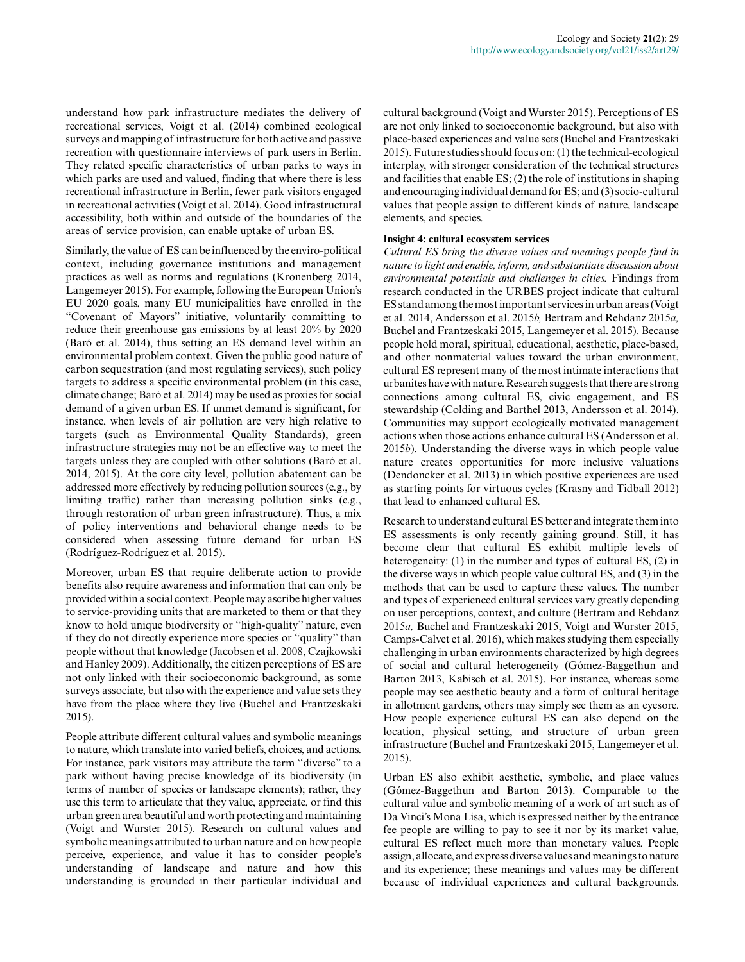understand how park infrastructure mediates the delivery of recreational services, Voigt et al. (2014) combined ecological surveys and mapping of infrastructure for both active and passive recreation with questionnaire interviews of park users in Berlin. They related specific characteristics of urban parks to ways in which parks are used and valued, finding that where there is less recreational infrastructure in Berlin, fewer park visitors engaged in recreational activities (Voigt et al. 2014). Good infrastructural accessibility, both within and outside of the boundaries of the areas of service provision, can enable uptake of urban ES.

Similarly, the value of ES can be influenced by the enviro-political context, including governance institutions and management practices as well as norms and regulations (Kronenberg 2014, Langemeyer 2015). For example, following the European Union's EU 2020 goals, many EU municipalities have enrolled in the "Covenant of Mayors" initiative, voluntarily committing to reduce their greenhouse gas emissions by at least 20% by 2020 (Baró et al. 2014), thus setting an ES demand level within an environmental problem context. Given the public good nature of carbon sequestration (and most regulating services), such policy targets to address a specific environmental problem (in this case, climate change; Baró et al. 2014) may be used as proxies for social demand of a given urban ES. If unmet demand is significant, for instance, when levels of air pollution are very high relative to targets (such as Environmental Quality Standards), green infrastructure strategies may not be an effective way to meet the targets unless they are coupled with other solutions (Baró et al. 2014, 2015). At the core city level, pollution abatement can be addressed more effectively by reducing pollution sources (e.g., by limiting traffic) rather than increasing pollution sinks (e.g., through restoration of urban green infrastructure). Thus, a mix of policy interventions and behavioral change needs to be considered when assessing future demand for urban ES (Rodríguez-Rodríguez et al. 2015).

Moreover, urban ES that require deliberate action to provide benefits also require awareness and information that can only be provided within a social context. People may ascribe higher values to service-providing units that are marketed to them or that they know to hold unique biodiversity or "high-quality" nature, even if they do not directly experience more species or "quality" than people without that knowledge (Jacobsen et al. 2008, Czajkowski and Hanley 2009). Additionally, the citizen perceptions of ES are not only linked with their socioeconomic background, as some surveys associate, but also with the experience and value sets they have from the place where they live (Buchel and Frantzeskaki 2015).

People attribute different cultural values and symbolic meanings to nature, which translate into varied beliefs, choices, and actions. For instance, park visitors may attribute the term "diverse" to a park without having precise knowledge of its biodiversity (in terms of number of species or landscape elements); rather, they use this term to articulate that they value, appreciate, or find this urban green area beautiful and worth protecting and maintaining (Voigt and Wurster 2015). Research on cultural values and symbolic meanings attributed to urban nature and on how people perceive, experience, and value it has to consider people's understanding of landscape and nature and how this understanding is grounded in their particular individual and cultural background (Voigt and Wurster 2015). Perceptions of ES are not only linked to socioeconomic background, but also with place-based experiences and value sets (Buchel and Frantzeskaki 2015). Future studies should focus on: (1) the technical-ecological interplay, with stronger consideration of the technical structures and facilities that enable ES; (2) the role of institutions in shaping and encouraging individual demand for ES; and (3) socio-cultural values that people assign to different kinds of nature, landscape elements, and species.

# **Insight 4: cultural ecosystem services**

*Cultural ES bring the diverse values and meanings people find in nature to light and enable, inform, and substantiate discussion about environmental potentials and challenges in cities.* Findings from research conducted in the URBES project indicate that cultural ES stand among the most important services in urban areas (Voigt et al. 2014, Andersson et al. 2015*b,* Bertram and Rehdanz 2015*a,* Buchel and Frantzeskaki 2015, Langemeyer et al. 2015). Because people hold moral, spiritual, educational, aesthetic, place-based, and other nonmaterial values toward the urban environment, cultural ES represent many of the most intimate interactions that urbanites have with nature. Research suggests that there are strong connections among cultural ES, civic engagement, and ES stewardship (Colding and Barthel 2013, Andersson et al. 2014). Communities may support ecologically motivated management actions when those actions enhance cultural ES (Andersson et al. 2015*b*). Understanding the diverse ways in which people value nature creates opportunities for more inclusive valuations (Dendoncker et al. 2013) in which positive experiences are used as starting points for virtuous cycles (Krasny and Tidball 2012) that lead to enhanced cultural ES.

Research to understand cultural ES better and integrate them into ES assessments is only recently gaining ground. Still, it has become clear that cultural ES exhibit multiple levels of heterogeneity: (1) in the number and types of cultural ES, (2) in the diverse ways in which people value cultural ES, and (3) in the methods that can be used to capture these values. The number and types of experienced cultural services vary greatly depending on user perceptions, context, and culture (Bertram and Rehdanz 2015*a,* Buchel and Frantzeskaki 2015, Voigt and Wurster 2015, Camps-Calvet et al. 2016), which makes studying them especially challenging in urban environments characterized by high degrees of social and cultural heterogeneity (Gómez-Baggethun and Barton 2013, Kabisch et al. 2015). For instance, whereas some people may see aesthetic beauty and a form of cultural heritage in allotment gardens, others may simply see them as an eyesore. How people experience cultural ES can also depend on the location, physical setting, and structure of urban green infrastructure (Buchel and Frantzeskaki 2015, Langemeyer et al. 2015).

Urban ES also exhibit aesthetic, symbolic, and place values (Gómez-Baggethun and Barton 2013). Comparable to the cultural value and symbolic meaning of a work of art such as of Da Vinci's Mona Lisa, which is expressed neither by the entrance fee people are willing to pay to see it nor by its market value, cultural ES reflect much more than monetary values. People assign, allocate, and express diverse values and meanings to nature and its experience; these meanings and values may be different because of individual experiences and cultural backgrounds.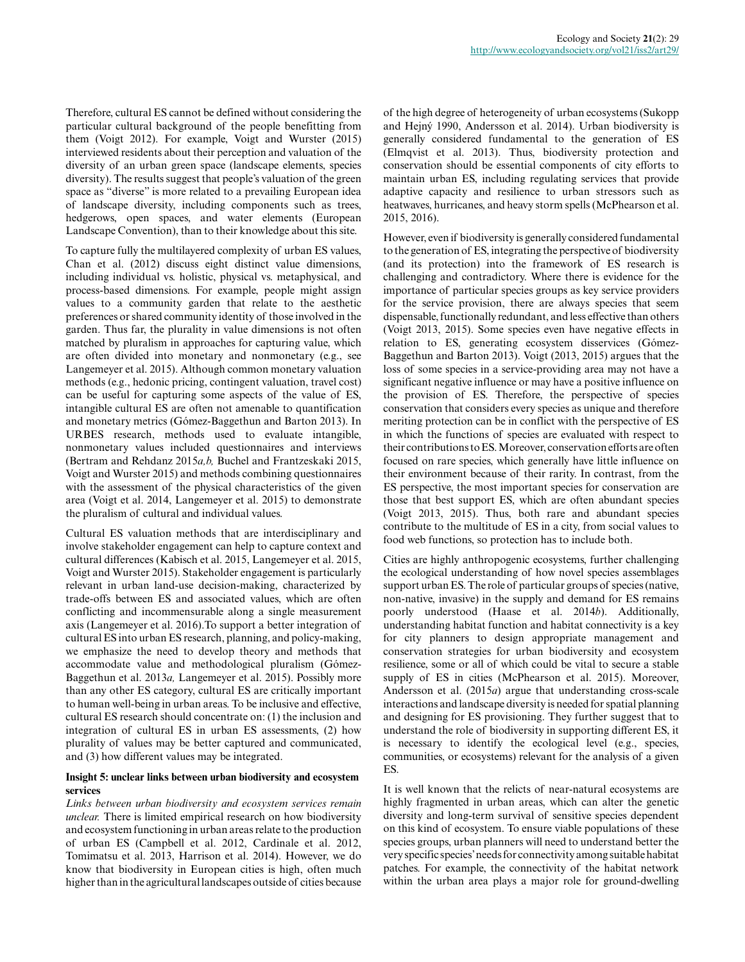Therefore, cultural ES cannot be defined without considering the particular cultural background of the people benefitting from them (Voigt 2012). For example, Voigt and Wurster (2015) interviewed residents about their perception and valuation of the diversity of an urban green space (landscape elements, species diversity). The results suggest that people's valuation of the green space as "diverse" is more related to a prevailing European idea of landscape diversity, including components such as trees, hedgerows, open spaces, and water elements (European Landscape Convention), than to their knowledge about this site.

To capture fully the multilayered complexity of urban ES values, Chan et al. (2012) discuss eight distinct value dimensions, including individual vs. holistic, physical vs. metaphysical, and process-based dimensions. For example, people might assign values to a community garden that relate to the aesthetic preferences or shared community identity of those involved in the garden. Thus far, the plurality in value dimensions is not often matched by pluralism in approaches for capturing value, which are often divided into monetary and nonmonetary (e.g., see Langemeyer et al. 2015). Although common monetary valuation methods (e.g., hedonic pricing, contingent valuation, travel cost) can be useful for capturing some aspects of the value of ES, intangible cultural ES are often not amenable to quantification and monetary metrics (Gómez-Baggethun and Barton 2013). In URBES research, methods used to evaluate intangible, nonmonetary values included questionnaires and interviews (Bertram and Rehdanz 2015*a,b,* Buchel and Frantzeskaki 2015, Voigt and Wurster 2015) and methods combining questionnaires with the assessment of the physical characteristics of the given area (Voigt et al. 2014, Langemeyer et al. 2015) to demonstrate the pluralism of cultural and individual values.

Cultural ES valuation methods that are interdisciplinary and involve stakeholder engagement can help to capture context and cultural differences (Kabisch et al. 2015, Langemeyer et al. 2015, Voigt and Wurster 2015). Stakeholder engagement is particularly relevant in urban land-use decision-making, characterized by trade-offs between ES and associated values, which are often conflicting and incommensurable along a single measurement axis (Langemeyer et al. 2016).To support a better integration of cultural ES into urban ES research, planning, and policy-making, we emphasize the need to develop theory and methods that accommodate value and methodological pluralism (Gómez-Baggethun et al. 2013*a,* Langemeyer et al. 2015). Possibly more than any other ES category, cultural ES are critically important to human well-being in urban areas. To be inclusive and effective, cultural ES research should concentrate on: (1) the inclusion and integration of cultural ES in urban ES assessments, (2) how plurality of values may be better captured and communicated, and (3) how different values may be integrated.

#### **Insight 5: unclear links between urban biodiversity and ecosystem services**

*Links between urban biodiversity and ecosystem services remain unclear.* There is limited empirical research on how biodiversity and ecosystem functioning in urban areas relate to the production of urban ES (Campbell et al. 2012, Cardinale et al. 2012, Tomimatsu et al. 2013, Harrison et al. 2014). However, we do know that biodiversity in European cities is high, often much higher than in the agricultural landscapes outside of cities because of the high degree of heterogeneity of urban ecosystems (Sukopp and Hejný 1990, Andersson et al. 2014). Urban biodiversity is generally considered fundamental to the generation of ES (Elmqvist et al. 2013). Thus, biodiversity protection and conservation should be essential components of city efforts to maintain urban ES, including regulating services that provide adaptive capacity and resilience to urban stressors such as heatwaves, hurricanes, and heavy storm spells (McPhearson et al. 2015, 2016).

However, even if biodiversity is generally considered fundamental to the generation of ES, integrating the perspective of biodiversity (and its protection) into the framework of ES research is challenging and contradictory. Where there is evidence for the importance of particular species groups as key service providers for the service provision, there are always species that seem dispensable, functionally redundant, and less effective than others (Voigt 2013, 2015). Some species even have negative effects in relation to ES, generating ecosystem disservices (Gómez-Baggethun and Barton 2013). Voigt (2013, 2015) argues that the loss of some species in a service-providing area may not have a significant negative influence or may have a positive influence on the provision of ES. Therefore, the perspective of species conservation that considers every species as unique and therefore meriting protection can be in conflict with the perspective of ES in which the functions of species are evaluated with respect to their contributions to ES. Moreover, conservation efforts are often focused on rare species, which generally have little influence on their environment because of their rarity. In contrast, from the ES perspective, the most important species for conservation are those that best support ES, which are often abundant species (Voigt 2013, 2015). Thus, both rare and abundant species contribute to the multitude of ES in a city, from social values to food web functions, so protection has to include both.

Cities are highly anthropogenic ecosystems, further challenging the ecological understanding of how novel species assemblages support urban ES. The role of particular groups of species (native, non-native, invasive) in the supply and demand for ES remains poorly understood (Haase et al. 2014*b*). Additionally, understanding habitat function and habitat connectivity is a key for city planners to design appropriate management and conservation strategies for urban biodiversity and ecosystem resilience, some or all of which could be vital to secure a stable supply of ES in cities (McPhearson et al. 2015). Moreover, Andersson et al. (2015*a*) argue that understanding cross-scale interactions and landscape diversity is needed for spatial planning and designing for ES provisioning. They further suggest that to understand the role of biodiversity in supporting different ES, it is necessary to identify the ecological level (e.g., species, communities, or ecosystems) relevant for the analysis of a given ES.

It is well known that the relicts of near-natural ecosystems are highly fragmented in urban areas, which can alter the genetic diversity and long-term survival of sensitive species dependent on this kind of ecosystem. To ensure viable populations of these species groups, urban planners will need to understand better the very specific species' needs for connectivity among suitable habitat patches. For example, the connectivity of the habitat network within the urban area plays a major role for ground-dwelling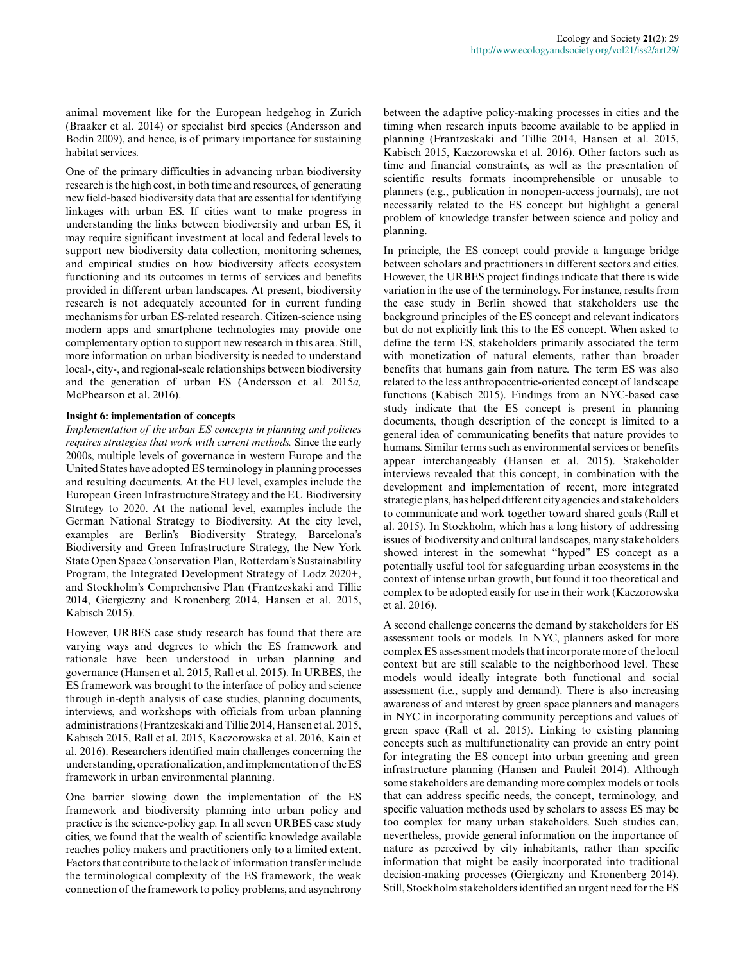animal movement like for the European hedgehog in Zurich (Braaker et al. 2014) or specialist bird species (Andersson and Bodin 2009), and hence, is of primary importance for sustaining habitat services.

One of the primary difficulties in advancing urban biodiversity research is the high cost, in both time and resources, of generating new field-based biodiversity data that are essential for identifying linkages with urban ES. If cities want to make progress in understanding the links between biodiversity and urban ES, it may require significant investment at local and federal levels to support new biodiversity data collection, monitoring schemes, and empirical studies on how biodiversity affects ecosystem functioning and its outcomes in terms of services and benefits provided in different urban landscapes. At present, biodiversity research is not adequately accounted for in current funding mechanisms for urban ES-related research. Citizen-science using modern apps and smartphone technologies may provide one complementary option to support new research in this area. Still, more information on urban biodiversity is needed to understand local-, city-, and regional-scale relationships between biodiversity and the generation of urban ES (Andersson et al. 2015*a,* McPhearson et al. 2016).

# **Insight 6: implementation of concepts**

*Implementation of the urban ES concepts in planning and policies requires strategies that work with current methods.* Since the early 2000s, multiple levels of governance in western Europe and the United States have adopted ES terminology in planning processes and resulting documents. At the EU level, examples include the European Green Infrastructure Strategy and the EU Biodiversity Strategy to 2020. At the national level, examples include the German National Strategy to Biodiversity. At the city level, examples are Berlin's Biodiversity Strategy, Barcelona's Biodiversity and Green Infrastructure Strategy, the New York State Open Space Conservation Plan, Rotterdam's Sustainability Program, the Integrated Development Strategy of Lodz 2020+, and Stockholm's Comprehensive Plan (Frantzeskaki and Tillie 2014, Giergiczny and Kronenberg 2014, Hansen et al. 2015, Kabisch 2015).

However, URBES case study research has found that there are varying ways and degrees to which the ES framework and rationale have been understood in urban planning and governance (Hansen et al. 2015, Rall et al. 2015). In URBES, the ES framework was brought to the interface of policy and science through in-depth analysis of case studies, planning documents, interviews, and workshops with officials from urban planning administrations (Frantzeskaki and Tillie 2014, Hansen et al. 2015, Kabisch 2015, Rall et al. 2015, Kaczorowska et al. 2016, Kain et al. 2016). Researchers identified main challenges concerning the understanding, operationalization, and implementation of the ES framework in urban environmental planning.

One barrier slowing down the implementation of the ES framework and biodiversity planning into urban policy and practice is the science-policy gap. In all seven URBES case study cities, we found that the wealth of scientific knowledge available reaches policy makers and practitioners only to a limited extent. Factors that contribute to the lack of information transfer include the terminological complexity of the ES framework, the weak connection of the framework to policy problems, and asynchrony between the adaptive policy-making processes in cities and the timing when research inputs become available to be applied in planning (Frantzeskaki and Tillie 2014, Hansen et al. 2015, Kabisch 2015, Kaczorowska et al. 2016). Other factors such as time and financial constraints, as well as the presentation of scientific results formats incomprehensible or unusable to planners (e.g., publication in nonopen-access journals), are not necessarily related to the ES concept but highlight a general problem of knowledge transfer between science and policy and planning.

In principle, the ES concept could provide a language bridge between scholars and practitioners in different sectors and cities. However, the URBES project findings indicate that there is wide variation in the use of the terminology. For instance, results from the case study in Berlin showed that stakeholders use the background principles of the ES concept and relevant indicators but do not explicitly link this to the ES concept. When asked to define the term ES, stakeholders primarily associated the term with monetization of natural elements, rather than broader benefits that humans gain from nature. The term ES was also related to the less anthropocentric-oriented concept of landscape functions (Kabisch 2015). Findings from an NYC-based case study indicate that the ES concept is present in planning documents, though description of the concept is limited to a general idea of communicating benefits that nature provides to humans. Similar terms such as environmental services or benefits appear interchangeably (Hansen et al. 2015). Stakeholder interviews revealed that this concept, in combination with the development and implementation of recent, more integrated strategic plans, has helped different city agencies and stakeholders to communicate and work together toward shared goals (Rall et al. 2015). In Stockholm, which has a long history of addressing issues of biodiversity and cultural landscapes, many stakeholders showed interest in the somewhat "hyped" ES concept as a potentially useful tool for safeguarding urban ecosystems in the context of intense urban growth, but found it too theoretical and complex to be adopted easily for use in their work (Kaczorowska et al. 2016).

A second challenge concerns the demand by stakeholders for ES assessment tools or models. In NYC, planners asked for more complex ES assessment models that incorporate more of the local context but are still scalable to the neighborhood level. These models would ideally integrate both functional and social assessment (i.e., supply and demand). There is also increasing awareness of and interest by green space planners and managers in NYC in incorporating community perceptions and values of green space (Rall et al. 2015). Linking to existing planning concepts such as multifunctionality can provide an entry point for integrating the ES concept into urban greening and green infrastructure planning (Hansen and Pauleit 2014). Although some stakeholders are demanding more complex models or tools that can address specific needs, the concept, terminology, and specific valuation methods used by scholars to assess ES may be too complex for many urban stakeholders. Such studies can, nevertheless, provide general information on the importance of nature as perceived by city inhabitants, rather than specific information that might be easily incorporated into traditional decision-making processes (Giergiczny and Kronenberg 2014). Still, Stockholm stakeholders identified an urgent need for the ES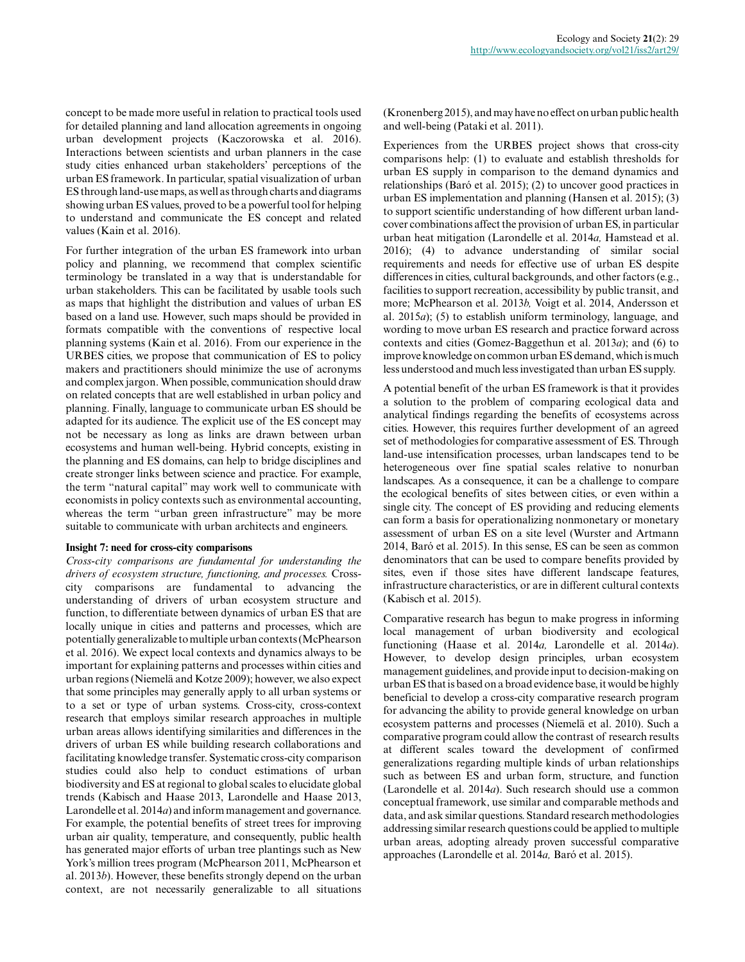concept to be made more useful in relation to practical tools used for detailed planning and land allocation agreements in ongoing urban development projects (Kaczorowska et al. 2016). Interactions between scientists and urban planners in the case study cities enhanced urban stakeholders' perceptions of the urban ES framework. In particular, spatial visualization of urban ES through land-use maps, as well as through charts and diagrams showing urban ES values, proved to be a powerful tool for helping to understand and communicate the ES concept and related values (Kain et al. 2016).

For further integration of the urban ES framework into urban policy and planning, we recommend that complex scientific terminology be translated in a way that is understandable for urban stakeholders. This can be facilitated by usable tools such as maps that highlight the distribution and values of urban ES based on a land use. However, such maps should be provided in formats compatible with the conventions of respective local planning systems (Kain et al. 2016). From our experience in the URBES cities, we propose that communication of ES to policy makers and practitioners should minimize the use of acronyms and complex jargon. When possible, communication should draw on related concepts that are well established in urban policy and planning. Finally, language to communicate urban ES should be adapted for its audience. The explicit use of the ES concept may not be necessary as long as links are drawn between urban ecosystems and human well-being. Hybrid concepts, existing in the planning and ES domains, can help to bridge disciplines and create stronger links between science and practice. For example, the term "natural capital" may work well to communicate with economists in policy contexts such as environmental accounting, whereas the term "urban green infrastructure" may be more suitable to communicate with urban architects and engineers.

#### **Insight 7: need for cross-city comparisons**

*Cross-city comparisons are fundamental for understanding the drivers of ecosystem structure, functioning, and processes.* Crosscity comparisons are fundamental to advancing the understanding of drivers of urban ecosystem structure and function, to differentiate between dynamics of urban ES that are locally unique in cities and patterns and processes, which are potentially generalizable to multiple urban contexts (McPhearson et al. 2016). We expect local contexts and dynamics always to be important for explaining patterns and processes within cities and urban regions (Niemelä and Kotze 2009); however, we also expect that some principles may generally apply to all urban systems or to a set or type of urban systems. Cross-city, cross-context research that employs similar research approaches in multiple urban areas allows identifying similarities and differences in the drivers of urban ES while building research collaborations and facilitating knowledge transfer. Systematic cross-city comparison studies could also help to conduct estimations of urban biodiversity and ES at regional to global scales to elucidate global trends (Kabisch and Haase 2013, Larondelle and Haase 2013, Larondelle et al. 2014*a*) and inform management and governance. For example, the potential benefits of street trees for improving urban air quality, temperature, and consequently, public health has generated major efforts of urban tree plantings such as New York's million trees program (McPhearson 2011, McPhearson et al. 2013*b*). However, these benefits strongly depend on the urban context, are not necessarily generalizable to all situations

(Kronenberg 2015), and may have no effect on urban public health and well-being (Pataki et al. 2011).

Experiences from the URBES project shows that cross-city comparisons help: (1) to evaluate and establish thresholds for urban ES supply in comparison to the demand dynamics and relationships (Baró et al. 2015); (2) to uncover good practices in urban ES implementation and planning (Hansen et al. 2015); (3) to support scientific understanding of how different urban landcover combinations affect the provision of urban ES, in particular urban heat mitigation (Larondelle et al. 2014*a,* Hamstead et al. 2016); (4) to advance understanding of similar social requirements and needs for effective use of urban ES despite differences in cities, cultural backgrounds, and other factors (e.g., facilities to support recreation, accessibility by public transit, and more; McPhearson et al. 2013*b,* Voigt et al. 2014, Andersson et al. 2015*a*); (5) to establish uniform terminology, language, and wording to move urban ES research and practice forward across contexts and cities (Gomez-Baggethun et al. 2013*a*); and (6) to improve knowledge on common urban ES demand, which is much less understood and much less investigated than urban ES supply.

A potential benefit of the urban ES framework is that it provides a solution to the problem of comparing ecological data and analytical findings regarding the benefits of ecosystems across cities. However, this requires further development of an agreed set of methodologies for comparative assessment of ES. Through land-use intensification processes, urban landscapes tend to be heterogeneous over fine spatial scales relative to nonurban landscapes. As a consequence, it can be a challenge to compare the ecological benefits of sites between cities, or even within a single city. The concept of ES providing and reducing elements can form a basis for operationalizing nonmonetary or monetary assessment of urban ES on a site level (Wurster and Artmann 2014, Baró et al. 2015). In this sense, ES can be seen as common denominators that can be used to compare benefits provided by sites, even if those sites have different landscape features, infrastructure characteristics, or are in different cultural contexts (Kabisch et al. 2015).

Comparative research has begun to make progress in informing local management of urban biodiversity and ecological functioning (Haase et al. 2014*a,* Larondelle et al. 2014*a*). However, to develop design principles, urban ecosystem management guidelines, and provide input to decision-making on urban ES that is based on a broad evidence base, it would be highly beneficial to develop a cross-city comparative research program for advancing the ability to provide general knowledge on urban ecosystem patterns and processes (Niemelä et al. 2010). Such a comparative program could allow the contrast of research results at different scales toward the development of confirmed generalizations regarding multiple kinds of urban relationships such as between ES and urban form, structure, and function (Larondelle et al. 2014*a*). Such research should use a common conceptual framework, use similar and comparable methods and data, and ask similar questions. Standard research methodologies addressing similar research questions could be applied to multiple urban areas, adopting already proven successful comparative approaches (Larondelle et al. 2014*a,* Baró et al. 2015).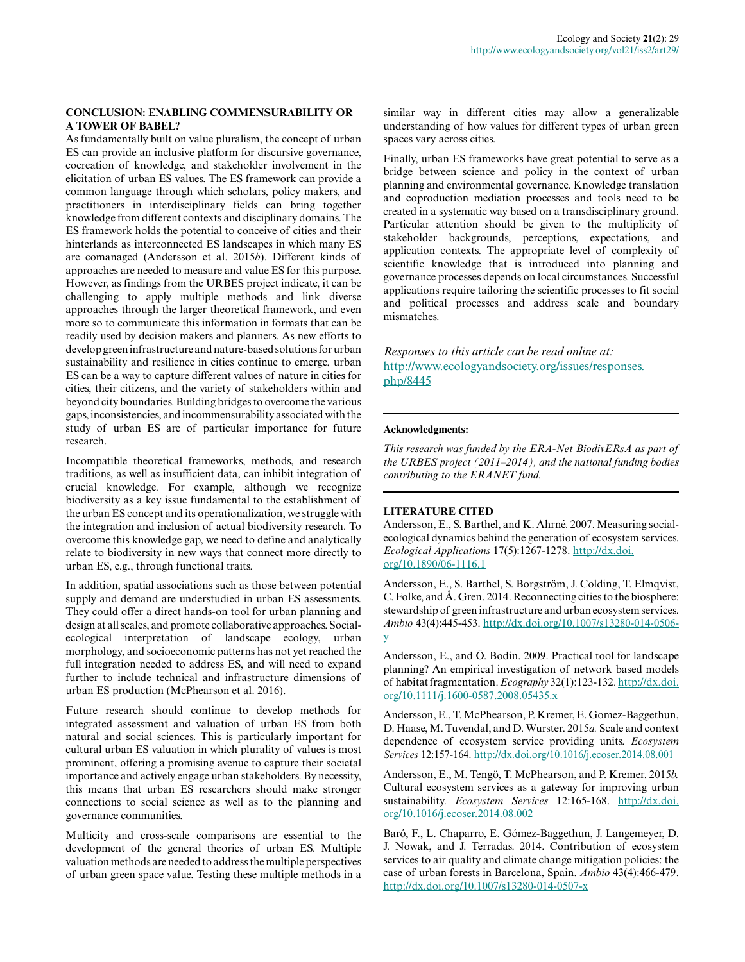# **CONCLUSION: ENABLING COMMENSURABILITY OR A TOWER OF BABEL?**

As fundamentally built on value pluralism, the concept of urban ES can provide an inclusive platform for discursive governance, cocreation of knowledge, and stakeholder involvement in the elicitation of urban ES values. The ES framework can provide a common language through which scholars, policy makers, and practitioners in interdisciplinary fields can bring together knowledge from different contexts and disciplinary domains. The ES framework holds the potential to conceive of cities and their hinterlands as interconnected ES landscapes in which many ES are comanaged (Andersson et al. 2015*b*). Different kinds of approaches are needed to measure and value ES for this purpose. However, as findings from the URBES project indicate, it can be challenging to apply multiple methods and link diverse approaches through the larger theoretical framework, and even more so to communicate this information in formats that can be readily used by decision makers and planners. As new efforts to develop green infrastructure and nature-based solutions for urban sustainability and resilience in cities continue to emerge, urban ES can be a way to capture different values of nature in cities for cities, their citizens, and the variety of stakeholders within and beyond city boundaries. Building bridges to overcome the various gaps, inconsistencies, and incommensurability associated with the study of urban ES are of particular importance for future research.

Incompatible theoretical frameworks, methods, and research traditions, as well as insufficient data, can inhibit integration of crucial knowledge. For example, although we recognize biodiversity as a key issue fundamental to the establishment of the urban ES concept and its operationalization, we struggle with the integration and inclusion of actual biodiversity research. To overcome this knowledge gap, we need to define and analytically relate to biodiversity in new ways that connect more directly to urban ES, e.g., through functional traits.

In addition, spatial associations such as those between potential supply and demand are understudied in urban ES assessments. They could offer a direct hands-on tool for urban planning and design at all scales, and promote collaborative approaches. Socialecological interpretation of landscape ecology, urban morphology, and socioeconomic patterns has not yet reached the full integration needed to address ES, and will need to expand further to include technical and infrastructure dimensions of urban ES production (McPhearson et al. 2016).

Future research should continue to develop methods for integrated assessment and valuation of urban ES from both natural and social sciences. This is particularly important for cultural urban ES valuation in which plurality of values is most prominent, offering a promising avenue to capture their societal importance and actively engage urban stakeholders. By necessity, this means that urban ES researchers should make stronger connections to social science as well as to the planning and governance communities.

Multicity and cross-scale comparisons are essential to the development of the general theories of urban ES. Multiple valuation methods are needed to address the multiple perspectives of urban green space value. Testing these multiple methods in a

similar way in different cities may allow a generalizable understanding of how values for different types of urban green spaces vary across cities.

Finally, urban ES frameworks have great potential to serve as a bridge between science and policy in the context of urban planning and environmental governance. Knowledge translation and coproduction mediation processes and tools need to be created in a systematic way based on a transdisciplinary ground. Particular attention should be given to the multiplicity of stakeholder backgrounds, perceptions, expectations, and application contexts. The appropriate level of complexity of scientific knowledge that is introduced into planning and governance processes depends on local circumstances. Successful applications require tailoring the scientific processes to fit social and political processes and address scale and boundary mismatches.

# *Responses to this article can be read online at:* [http://www.ecologyandsociety.org/issues/responses.](http://www.ecologyandsociety.org/issues/responses.php/8445) [php/8445](http://www.ecologyandsociety.org/issues/responses.php/8445)

# **Acknowledgments:**

*This research was funded by the ERA-Net BiodivERsA as part of the URBES project (2011–2014), and the national funding bodies contributing to the ERANET fund.*

# **LITERATURE CITED**

Andersson, E., S. Barthel, and K. Ahrné. 2007. Measuring socialecological dynamics behind the generation of ecosystem services. *Ecological Applications* 17(5):1267-1278. [http://dx.doi.](http://dx.doi.org/10.1890/06-1116.1) [org/10.1890/06-1116.1](http://dx.doi.org/10.1890/06-1116.1)

Andersson, E., S. Barthel, S. Borgström, J. Colding, T. Elmqvist, C. Folke, and Å. Gren. 2014. Reconnecting cities to the biosphere: stewardship of green infrastructure and urban ecosystem services. *Ambio* 43(4):445-453. [http://dx.doi.org/10.1007/s13280-014-0506](http://dx.doi.org/10.1007/s13280-014-0506-y) [y](http://dx.doi.org/10.1007/s13280-014-0506-y) 

Andersson, E., and Ö. Bodin. 2009. Practical tool for landscape planning? An empirical investigation of network based models of habitat fragmentation. *Ecography* 32(1):123-132. [http://dx.doi.](http://dx.doi.org/10.1111/j.1600-0587.2008.05435.x) [org/10.1111/j.1600-0587.2008.05435.x](http://dx.doi.org/10.1111/j.1600-0587.2008.05435.x)

Andersson, E., T. McPhearson, P. Kremer, E. Gomez-Baggethun, D. Haase, M. Tuvendal, and D. Wurster. 2015*a.* Scale and context dependence of ecosystem service providing units. *Ecosystem Services* 12:157-164. <http://dx.doi.org/10.1016/j.ecoser.2014.08.001>

Andersson, E., M. Tengö, T. McPhearson, and P. Kremer. 2015*b.* Cultural ecosystem services as a gateway for improving urban sustainability. *Ecosystem Services* 12:165-168. [http://dx.doi.](http://dx.doi.org/10.1016/j.ecoser.2014.08.002) [org/10.1016/j.ecoser.2014.08.002](http://dx.doi.org/10.1016/j.ecoser.2014.08.002)

Baró, F., L. Chaparro, E. Gómez-Baggethun, J. Langemeyer, D. J. Nowak, and J. Terradas. 2014. Contribution of ecosystem services to air quality and climate change mitigation policies: the case of urban forests in Barcelona, Spain. *Ambio* 43(4):466-479. <http://dx.doi.org/10.1007/s13280-014-0507-x>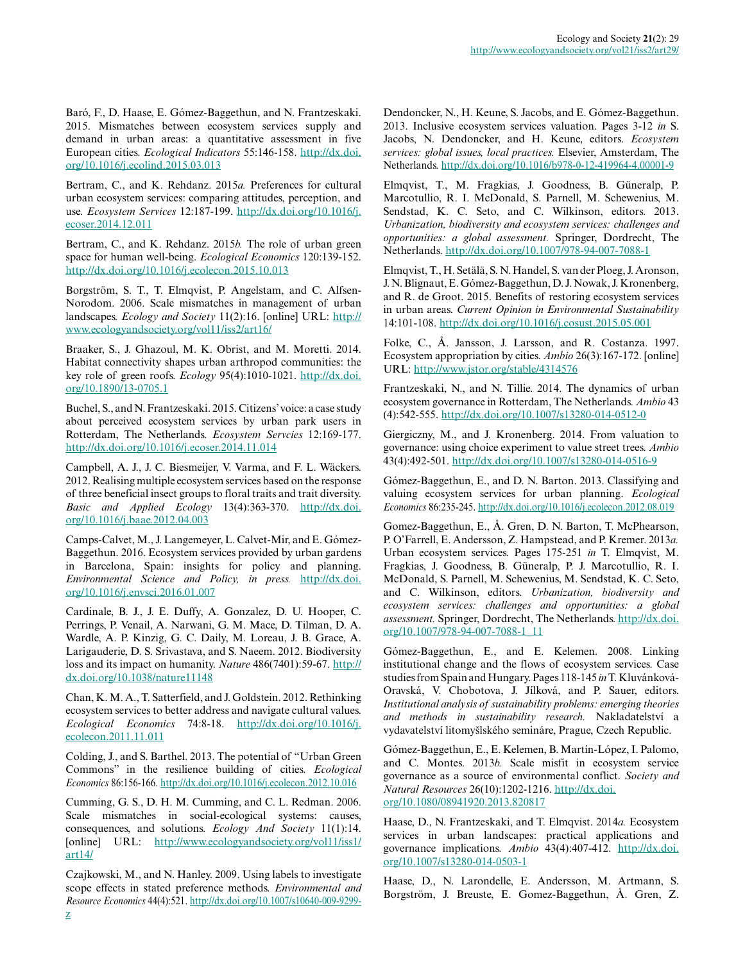Baró, F., D. Haase, E. Gómez-Baggethun, and N. Frantzeskaki. 2015. Mismatches between ecosystem services supply and demand in urban areas: a quantitative assessment in five European cities. *Ecological Indicators* 55:146-158. [http://dx.doi.](http://dx.doi.org/10.1016/j.ecolind.2015.03.013) [org/10.1016/j.ecolind.2015.03.013](http://dx.doi.org/10.1016/j.ecolind.2015.03.013) 

Bertram, C., and K. Rehdanz. 2015*a.* Preferences for cultural urban ecosystem services: comparing attitudes, perception, and use. *Ecosystem Services* 12:187-199. [http://dx.doi.org/10.1016/j.](http://dx.doi.org/10.1016/j.ecoser.2014.12.011) [ecoser.2014.12.011](http://dx.doi.org/10.1016/j.ecoser.2014.12.011) 

Bertram, C., and K. Rehdanz. 2015*b.* The role of urban green space for human well-being. *Ecological Economics* 120:139-152. <http://dx.doi.org/10.1016/j.ecolecon.2015.10.013>

Borgström, S. T., T. Elmqvist, P. Angelstam, and C. Alfsen-Norodom. 2006. Scale mismatches in management of urban landscapes. *Ecology and Society* 11(2):16. [online] URL: [http://](http://www.ecologyandsociety.org/vol11/iss2/art16/) [www.ecologyandsociety.org/vol11/iss2/art16/](http://www.ecologyandsociety.org/vol11/iss2/art16/)

Braaker, S., J. Ghazoul, M. K. Obrist, and M. Moretti. 2014. Habitat connectivity shapes urban arthropod communities: the key role of green roofs. *Ecology* 95(4):1010-1021. [http://dx.doi.](http://dx.doi.org/10.1890/13-0705.1) [org/10.1890/13-0705.1](http://dx.doi.org/10.1890/13-0705.1)

Buchel, S., and N. Frantzeskaki. 2015. Citizens' voice: a case study about perceived ecosystem services by urban park users in Rotterdam, The Netherlands. *Ecosystem Servcies* 12:169-177. <http://dx.doi.org/10.1016/j.ecoser.2014.11.014>

Campbell, A. J., J. C. Biesmeijer, V. Varma, and F. L. Wäckers. 2012. Realising multiple ecosystem services based on the response of three beneficial insect groups to floral traits and trait diversity. *Basic and Applied Ecology* 13(4):363-370. [http://dx.doi.](http://dx.doi.org/10.1016/j.baae.2012.04.003) [org/10.1016/j.baae.2012.04.003](http://dx.doi.org/10.1016/j.baae.2012.04.003)

Camps-Calvet, M., J. Langemeyer, L. Calvet-Mir, and E. Gómez-Baggethun. 2016. Ecosystem services provided by urban gardens in Barcelona, Spain: insights for policy and planning. *Environmental Science and Policy, in press.* [http://dx.doi.](http://dx.doi.org/10.1016/j.envsci.2016.01.007) [org/10.1016/j.envsci.2016.01.007](http://dx.doi.org/10.1016/j.envsci.2016.01.007) 

Cardinale, B. J., J. E. Duffy, A. Gonzalez, D. U. Hooper, C. Perrings, P. Venail, A. Narwani, G. M. Mace, D. Tilman, D. A. Wardle, A. P. Kinzig, G. C. Daily, M. Loreau, J. B. Grace, A. Larigauderie, D. S. Srivastava, and S. Naeem. 2012. Biodiversity loss and its impact on humanity. *Nature* 486(7401):59-67. [http://](http://dx.doi.org/10.1038/nature11148) [dx.doi.org/10.1038/nature11148](http://dx.doi.org/10.1038/nature11148) 

Chan, K. M. A., T. Satterfield, and J. Goldstein. 2012. Rethinking ecosystem services to better address and navigate cultural values. *Ecological Economics* 74:8-18. [http://dx.doi.org/10.1016/j.](http://dx.doi.org/10.1016/j.ecolecon.2011.11.011) [ecolecon.2011.11.011](http://dx.doi.org/10.1016/j.ecolecon.2011.11.011) 

Colding, J., and S. Barthel. 2013. The potential of "Urban Green Commons" in the resilience building of cities. *Ecological Economics* 86:156-166. <http://dx.doi.org/10.1016/j.ecolecon.2012.10.016>

Cumming, G. S., D. H. M. Cumming, and C. L. Redman. 2006. Scale mismatches in social-ecological systems: causes, consequences, and solutions. *Ecology And Society* 11(1):14. [online] URL: [http://www.ecologyandsociety.org/vol11/iss1/](http://www.ecologyandsociety.org/vol11/iss1/art14/) [art14/](http://www.ecologyandsociety.org/vol11/iss1/art14/)

Czajkowski, M., and N. Hanley. 2009. Using labels to investigate scope effects in stated preference methods. *Environmental and Resource Economics* 44(4):521. [http://dx.doi.org/10.1007/s10640-009-9299-](http://dx.doi.org/10.1007/s10640-009-9299-z) Dendoncker, N., H. Keune, S. Jacobs, and E. Gómez-Baggethun. 2013. Inclusive ecosystem services valuation. Pages 3-12 *in* S. Jacobs, N. Dendoncker, and H. Keune, editors. *Ecosystem services: global issues, local practices.* Elsevier, Amsterdam, The Netherlands. <http://dx.doi.org/10.1016/b978-0-12-419964-4.00001-9>

Elmqvist, T., M. Fragkias, J. Goodness, B. Güneralp, P. Marcotullio, R. I. McDonald, S. Parnell, M. Schewenius, M. Sendstad, K. C. Seto, and C. Wilkinson, editors. 2013. *Urbanization, biodiversity and ecosystem services: challenges and opportunities: a global assessment.* Springer, Dordrecht, The Netherlands.<http://dx.doi.org/10.1007/978-94-007-7088-1>

Elmqvist, T., H. Setälä, S. N. Handel, S. van der Ploeg, J. Aronson, J. N. Blignaut, E. Gómez-Baggethun, D. J. Nowak, J. Kronenberg, and R. de Groot. 2015. Benefits of restoring ecosystem services in urban areas. *Current Opinion in Environmental Sustainability* 14:101-108.<http://dx.doi.org/10.1016/j.cosust.2015.05.001>

Folke, C., Å. Jansson, J. Larsson, and R. Costanza. 1997. Ecosystem appropriation by cities. *Ambio* 26(3):167-172. [online] URL:<http://www.jstor.org/stable/4314576>

Frantzeskaki, N., and N. Tillie. 2014. The dynamics of urban ecosystem governance in Rotterdam, The Netherlands. *Ambio* 43 (4):542-555. <http://dx.doi.org/10.1007/s13280-014-0512-0>

Giergiczny, M., and J. Kronenberg. 2014. From valuation to governance: using choice experiment to value street trees. *Ambio* 43(4):492-501. <http://dx.doi.org/10.1007/s13280-014-0516-9>

Gómez-Baggethun, E., and D. N. Barton. 2013. Classifying and valuing ecosystem services for urban planning. *Ecological Economics* 86:235-245. <http://dx.doi.org/10.1016/j.ecolecon.2012.08.019>

Gomez-Baggethun, E., Å. Gren, D. N. Barton, T. McPhearson, P. O'Farrell, E. Andersson, Z. Hampstead, and P. Kremer. 2013*a.* Urban ecosystem services. Pages 175-251 *in* T. Elmqvist, M. Fragkias, J. Goodness, B. Güneralp, P. J. Marcotullio, R. I. McDonald, S. Parnell, M. Schewenius, M. Sendstad, K. C. Seto, and C. Wilkinson, editors. *Urbanization, biodiversity and ecosystem services: challenges and opportunities: a global assessment.* Springer, Dordrecht, The Netherlands. [http://dx.doi.](http://dx.doi.org/10.1007/978-94-007-7088-1_11) [org/10.1007/978-94-007-7088-1\\_11](http://dx.doi.org/10.1007/978-94-007-7088-1_11)

Gómez-Baggethun, E., and E. Kelemen. 2008. Linking institutional change and the flows of ecosystem services. Case studies from Spain and Hungary. Pages 118-145 *in* T. Kluvánková-Oravská, V. Chobotova, J. Jílková, and P. Sauer, editors. *Institutional analysis of sustainability problems: emerging theories and methods in sustainability research.* Nakladatelství a vydavatelství litomyšlského semináre, Prague, Czech Republic.

Gómez-Baggethun, E., E. Kelemen, B. Martín-López, I. Palomo, and C. Montes. 2013*b.* Scale misfit in ecosystem service governance as a source of environmental conflict. *Society and Natural Resources* 26(10):1202-1216. [http://dx.doi.](http://dx.doi.org/10.1080/08941920.2013.820817) [org/10.1080/08941920.2013.820817](http://dx.doi.org/10.1080/08941920.2013.820817)

Haase, D., N. Frantzeskaki, and T. Elmqvist. 2014*a.* Ecosystem services in urban landscapes: practical applications and governance implications. *Ambio* 43(4):407-412. [http://dx.doi.](http://dx.doi.org/10.1007/s13280-014-0503-1) [org/10.1007/s13280-014-0503-1](http://dx.doi.org/10.1007/s13280-014-0503-1)

Haase, D., N. Larondelle, E. Andersson, M. Artmann, S. Borgström, J. Breuste, E. Gomez-Baggethun, Å. Gren, Z.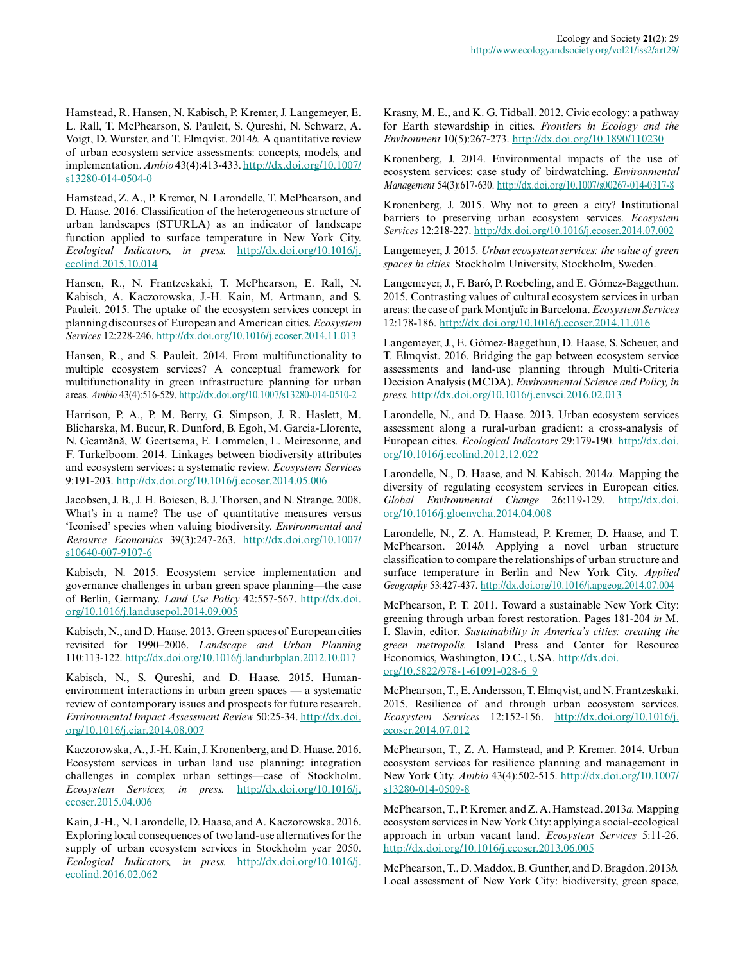Hamstead, R. Hansen, N. Kabisch, P. Kremer, J. Langemeyer, E. L. Rall, T. McPhearson, S. Pauleit, S. Qureshi, N. Schwarz, A. Voigt, D. Wurster, and T. Elmqvist. 2014*b.* A quantitative review of urban ecosystem service assessments: concepts, models, and implementation. *Ambio* 43(4):413-433. [http://dx.doi.org/10.1007/](http://dx.doi.org/10.1007/s13280-014-0504-0) [s13280-014-0504-0](http://dx.doi.org/10.1007/s13280-014-0504-0) 

Hamstead, Z. A., P. Kremer, N. Larondelle, T. McPhearson, and D. Haase. 2016. Classification of the heterogeneous structure of urban landscapes (STURLA) as an indicator of landscape function applied to surface temperature in New York City. *Ecological Indicators, in press.* [http://dx.doi.org/10.1016/j.](http://dx.doi.org/10.1016/j.ecolind.2015.10.014) [ecolind.2015.10.014](http://dx.doi.org/10.1016/j.ecolind.2015.10.014)

Hansen, R., N. Frantzeskaki, T. McPhearson, E. Rall, N. Kabisch, A. Kaczorowska, J.-H. Kain, M. Artmann, and S. Pauleit. 2015. The uptake of the ecosystem services concept in planning discourses of European and American cities. *Ecosystem Services* 12:228-246. <http://dx.doi.org/10.1016/j.ecoser.2014.11.013>

Hansen, R., and S. Pauleit. 2014. From multifunctionality to multiple ecosystem services? A conceptual framework for multifunctionality in green infrastructure planning for urban areas. *Ambio* 43(4):516-529.<http://dx.doi.org/10.1007/s13280-014-0510-2>

Harrison, P. A., P. M. Berry, G. Simpson, J. R. Haslett, M. Blicharska, M. Bucur, R. Dunford, B. Egoh, M. Garcia-Llorente, N. Geamănă, W. Geertsema, E. Lommelen, L. Meiresonne, and F. Turkelboom. 2014. Linkages between biodiversity attributes and ecosystem services: a systematic review. *Ecosystem Services* 9:191-203. <http://dx.doi.org/10.1016/j.ecoser.2014.05.006>

Jacobsen, J. B., J. H. Boiesen, B. J. Thorsen, and N. Strange. 2008. What's in a name? The use of quantitative measures versus 'Iconised' species when valuing biodiversity. *Environmental and Resource Economics* 39(3):247-263. [http://dx.doi.org/10.1007/](http://dx.doi.org/10.1007/s10640-007-9107-6) [s10640-007-9107-6](http://dx.doi.org/10.1007/s10640-007-9107-6) 

Kabisch, N. 2015. Ecosystem service implementation and governance challenges in urban green space planning—the case of Berlin, Germany. *Land Use Policy* 42:557-567. [http://dx.doi.](http://dx.doi.org/10.1016/j.landusepol.2014.09.005) [org/10.1016/j.landusepol.2014.09.005](http://dx.doi.org/10.1016/j.landusepol.2014.09.005) 

Kabisch, N., and D. Haase. 2013. Green spaces of European cities revisited for 1990–2006. *Landscape and Urban Planning* 110:113-122. <http://dx.doi.org/10.1016/j.landurbplan.2012.10.017>

Kabisch, N., S. Qureshi, and D. Haase. 2015. Humanenvironment interactions in urban green spaces — a systematic review of contemporary issues and prospects for future research. *Environmental Impact Assessment Review* 50:25-34. [http://dx.doi.](http://dx.doi.org/10.1016/j.eiar.2014.08.007) [org/10.1016/j.eiar.2014.08.007](http://dx.doi.org/10.1016/j.eiar.2014.08.007) 

Kaczorowska, A., J.-H. Kain, J. Kronenberg, and D. Haase. 2016. Ecosystem services in urban land use planning: integration challenges in complex urban settings—case of Stockholm. *Ecosystem Services, in press.* [http://dx.doi.org/10.1016/j.](http://dx.doi.org/10.1016/j.ecoser.2015.04.006) [ecoser.2015.04.006](http://dx.doi.org/10.1016/j.ecoser.2015.04.006) 

Kain, J.-H., N. Larondelle, D. Haase, and A. Kaczorowska. 2016. Exploring local consequences of two land-use alternatives for the supply of urban ecosystem services in Stockholm year 2050. *Ecological Indicators, in press.* [http://dx.doi.org/10.1016/j.](http://dx.doi.org/10.1016/j.ecolind.2016.02.062) [ecolind.2016.02.062](http://dx.doi.org/10.1016/j.ecolind.2016.02.062)

Krasny, M. E., and K. G. Tidball. 2012. Civic ecology: a pathway for Earth stewardship in cities. *Frontiers in Ecology and the Environment* 10(5):267-273.<http://dx.doi.org/10.1890/110230>

Kronenberg, J. 2014. Environmental impacts of the use of ecosystem services: case study of birdwatching. *Environmental Management* 54(3):617-630.<http://dx.doi.org/10.1007/s00267-014-0317-8>

Kronenberg, J. 2015. Why not to green a city? Institutional barriers to preserving urban ecosystem services. *Ecosystem Services* 12:218-227. <http://dx.doi.org/10.1016/j.ecoser.2014.07.002>

Langemeyer, J. 2015. *Urban ecosystem services: the value of green spaces in cities.* Stockholm University, Stockholm, Sweden.

Langemeyer, J., F. Baró, P. Roebeling, and E. Gómez-Baggethun. 2015. Contrasting values of cultural ecosystem services in urban areas: the case of park Montjuïc in Barcelona. *Ecosystem Services* 12:178-186.<http://dx.doi.org/10.1016/j.ecoser.2014.11.016>

Langemeyer, J., E. Gómez-Baggethun, D. Haase, S. Scheuer, and T. Elmqvist. 2016. Bridging the gap between ecosystem service assessments and land-use planning through Multi-Criteria Decision Analysis (MCDA). *Environmental Science and Policy, in press.* <http://dx.doi.org/10.1016/j.envsci.2016.02.013>

Larondelle, N., and D. Haase. 2013. Urban ecosystem services assessment along a rural-urban gradient: a cross-analysis of European cities. *Ecological Indicators* 29:179-190. [http://dx.doi.](http://dx.doi.org/10.1016/j.ecolind.2012.12.022) [org/10.1016/j.ecolind.2012.12.022](http://dx.doi.org/10.1016/j.ecolind.2012.12.022) 

Larondelle, N., D. Haase, and N. Kabisch. 2014*a.* Mapping the diversity of regulating ecosystem services in European cities. *Global Environmental Change* 26:119-129. [http://dx.doi.](http://dx.doi.org/10.1016/j.gloenvcha.2014.04.008) [org/10.1016/j.gloenvcha.2014.04.008](http://dx.doi.org/10.1016/j.gloenvcha.2014.04.008)

Larondelle, N., Z. A. Hamstead, P. Kremer, D. Haase, and T. McPhearson. 2014*b.* Applying a novel urban structure classification to compare the relationships of urban structure and surface temperature in Berlin and New York City. *Applied Geography* 53:427-437. <http://dx.doi.org/10.1016/j.apgeog.2014.07.004>

McPhearson, P. T. 2011. Toward a sustainable New York City: greening through urban forest restoration. Pages 181-204 *in* M. I. Slavin, editor. *Sustainability in America's cities: creating the green metropolis.* Island Press and Center for Resource Economics, Washington, D.C., USA. [http://dx.doi.](http://dx.doi.org/10.5822/978-1-61091-028-6_9) [org/10.5822/978-1-61091-028-6\\_9](http://dx.doi.org/10.5822/978-1-61091-028-6_9) 

McPhearson, T., E. Andersson, T. Elmqvist, and N. Frantzeskaki. 2015. Resilience of and through urban ecosystem services. *Ecosystem Services* 12:152-156. [http://dx.doi.org/10.1016/j.](http://dx.doi.org/10.1016/j.ecoser.2014.07.012) [ecoser.2014.07.012](http://dx.doi.org/10.1016/j.ecoser.2014.07.012) 

McPhearson, T., Z. A. Hamstead, and P. Kremer. 2014. Urban ecosystem services for resilience planning and management in New York City. *Ambio* 43(4):502-515. [http://dx.doi.org/10.1007/](http://dx.doi.org/10.1007/s13280-014-0509-8) [s13280-014-0509-8](http://dx.doi.org/10.1007/s13280-014-0509-8) 

McPhearson, T., P. Kremer, and Z. A. Hamstead. 2013*a.* Mapping ecosystem services in New York City: applying a social-ecological approach in urban vacant land. *Ecosystem Services* 5:11-26. <http://dx.doi.org/10.1016/j.ecoser.2013.06.005>

McPhearson, T., D. Maddox, B. Gunther, and D. Bragdon. 2013*b.* Local assessment of New York City: biodiversity, green space,